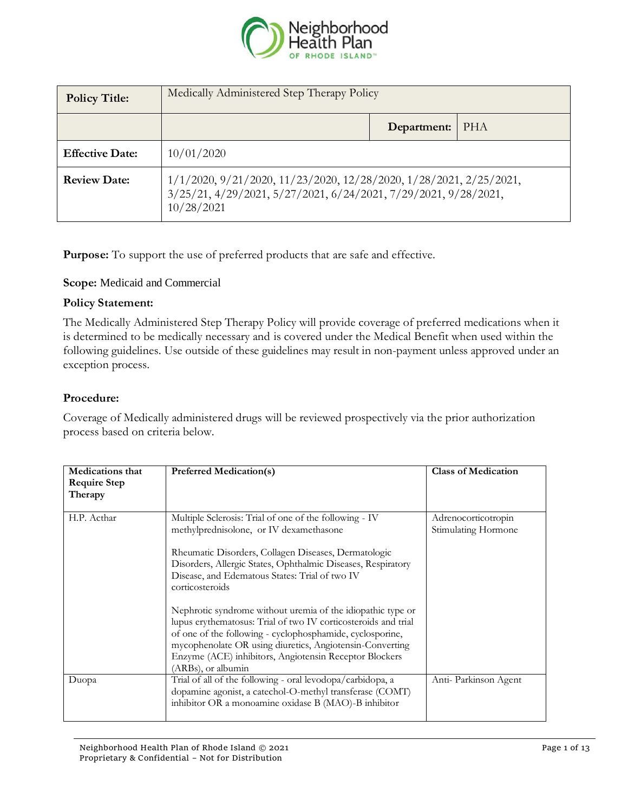

| <b>Policy Title:</b>   | Medically Administered Step Therapy Policy                                                                                                                            |             |            |
|------------------------|-----------------------------------------------------------------------------------------------------------------------------------------------------------------------|-------------|------------|
|                        |                                                                                                                                                                       | Department: | <b>PHA</b> |
| <b>Effective Date:</b> | 10/01/2020                                                                                                                                                            |             |            |
| <b>Review Date:</b>    | $1/1/2020$ , $9/21/2020$ , $11/23/2020$ , $12/28/2020$ , $1/28/2021$ , $2/25/2021$ ,<br>3/25/21, 4/29/2021, 5/27/2021, 6/24/2021, 7/29/2021, 9/28/2021,<br>10/28/2021 |             |            |

**Purpose:** To support the use of preferred products that are safe and effective.

## **Scope:** Medicaid and Commercial

## **Policy Statement:**

The Medically Administered Step Therapy Policy will provide coverage of preferred medications when it is determined to be medically necessary and is covered under the Medical Benefit when used within the following guidelines. Use outside of these guidelines may result in non-payment unless approved under an exception process.

## **Procedure:**

Coverage of Medically administered drugs will be reviewed prospectively via the prior authorization process based on criteria below.

| <b>Medications that</b><br><b>Require Step</b><br>Therapy | <b>Preferred Medication(s)</b>                                                                                                                                                                                                                                                                                                                                                                                                                                                                                                                                                                                                           | <b>Class of Medication</b>                 |
|-----------------------------------------------------------|------------------------------------------------------------------------------------------------------------------------------------------------------------------------------------------------------------------------------------------------------------------------------------------------------------------------------------------------------------------------------------------------------------------------------------------------------------------------------------------------------------------------------------------------------------------------------------------------------------------------------------------|--------------------------------------------|
| H.P. Acthar                                               | Multiple Sclerosis: Trial of one of the following - IV<br>methylprednisolone, or IV dexamethasone<br>Rheumatic Disorders, Collagen Diseases, Dermatologic<br>Disorders, Allergic States, Ophthalmic Diseases, Respiratory<br>Disease, and Edematous States: Trial of two IV<br>corticosteroids<br>Nephrotic syndrome without uremia of the idiopathic type or<br>lupus erythematosus: Trial of two IV corticosteroids and trial<br>of one of the following - cyclophosphamide, cyclosporine,<br>mycophenolate OR using diuretics, Angiotensin-Converting<br>Enzyme (ACE) inhibitors, Angiotensin Receptor Blockers<br>(ARBs), or albumin | Adrenocorticotropin<br>Stimulating Hormone |
| Duopa                                                     | Trial of all of the following - oral levodopa/carbidopa, a<br>dopamine agonist, a catechol-O-methyl transferase (COMT)<br>inhibitor OR a monoamine oxidase B (MAO)-B inhibitor                                                                                                                                                                                                                                                                                                                                                                                                                                                           | Anti-Parkinson Agent                       |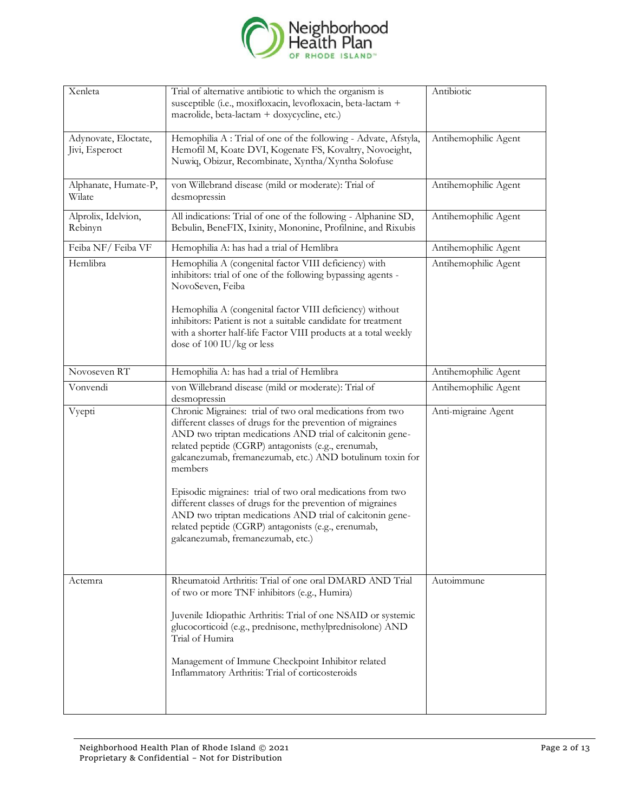

| Xenleta                                | Trial of alternative antibiotic to which the organism is<br>susceptible (i.e., moxifloxacin, levofloxacin, beta-lactam +<br>macrolide, beta-lactam + doxycycline, etc.)                                                                                                                                                                                                                                                                                                                                                                                                                                  | Antibiotic           |
|----------------------------------------|----------------------------------------------------------------------------------------------------------------------------------------------------------------------------------------------------------------------------------------------------------------------------------------------------------------------------------------------------------------------------------------------------------------------------------------------------------------------------------------------------------------------------------------------------------------------------------------------------------|----------------------|
| Adynovate, Eloctate,<br>Jivi, Esperoct | Hemophilia A : Trial of one of the following - Advate, Afstyla,<br>Hemofil M, Koate DVI, Kogenate FS, Kovaltry, Novoeight,<br>Nuwiq, Obizur, Recombinate, Xyntha/Xyntha Solofuse                                                                                                                                                                                                                                                                                                                                                                                                                         | Antihemophilic Agent |
| Alphanate, Humate-P,<br>Wilate         | von Willebrand disease (mild or moderate): Trial of<br>desmopressin                                                                                                                                                                                                                                                                                                                                                                                                                                                                                                                                      | Antihemophilic Agent |
| Alprolix, Idelvion,<br>Rebinyn         | All indications: Trial of one of the following - Alphanine SD,<br>Bebulin, BeneFIX, Ixinity, Mononine, Profilnine, and Rixubis                                                                                                                                                                                                                                                                                                                                                                                                                                                                           | Antihemophilic Agent |
| Feiba NF/Feiba VF                      | Hemophilia A: has had a trial of Hemlibra                                                                                                                                                                                                                                                                                                                                                                                                                                                                                                                                                                | Antihemophilic Agent |
| Hemlibra                               | Hemophilia A (congenital factor VIII deficiency) with<br>inhibitors: trial of one of the following bypassing agents -<br>NovoSeven, Feiba<br>Hemophilia A (congenital factor VIII deficiency) without<br>inhibitors: Patient is not a suitable candidate for treatment<br>with a shorter half-life Factor VIII products at a total weekly<br>dose of 100 IU/kg or less                                                                                                                                                                                                                                   | Antihemophilic Agent |
| Novoseven RT                           | Hemophilia A: has had a trial of Hemlibra                                                                                                                                                                                                                                                                                                                                                                                                                                                                                                                                                                | Antihemophilic Agent |
| Vonvendi                               | von Willebrand disease (mild or moderate): Trial of<br>desmopressin                                                                                                                                                                                                                                                                                                                                                                                                                                                                                                                                      | Antihemophilic Agent |
| Vyepti                                 | Chronic Migraines: trial of two oral medications from two<br>different classes of drugs for the prevention of migraines<br>AND two triptan medications AND trial of calcitonin gene-<br>related peptide (CGRP) antagonists (e.g., erenumab,<br>galcanezumab, fremanezumab, etc.) AND botulinum toxin for<br>members<br>Episodic migraines: trial of two oral medications from two<br>different classes of drugs for the prevention of migraines<br>AND two triptan medications AND trial of calcitonin gene-<br>related peptide (CGRP) antagonists (e.g., erenumab,<br>galcanezumab, fremanezumab, etc.) | Anti-migraine Agent  |
| Actemra                                | Rheumatoid Arthritis: Trial of one oral DMARD AND Trial<br>of two or more TNF inhibitors (e.g., Humira)<br>Juvenile Idiopathic Arthritis: Trial of one NSAID or systemic<br>glucocorticoid (e.g., prednisone, methylprednisolone) AND<br>Trial of Humira<br>Management of Immune Checkpoint Inhibitor related<br>Inflammatory Arthritis: Trial of corticosteroids                                                                                                                                                                                                                                        | Autoimmune           |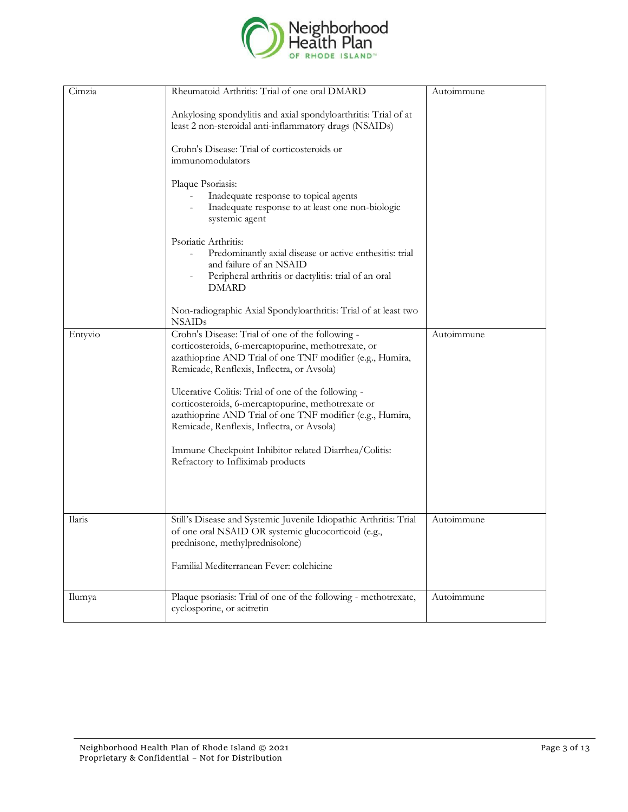

| Cimzia  | Rheumatoid Arthritis: Trial of one oral DMARD                                                                                                                                                                                                                                                                                                                                                                                              | Autoimmune |
|---------|--------------------------------------------------------------------------------------------------------------------------------------------------------------------------------------------------------------------------------------------------------------------------------------------------------------------------------------------------------------------------------------------------------------------------------------------|------------|
|         | Ankylosing spondylitis and axial spondyloarthritis: Trial of at<br>least 2 non-steroidal anti-inflammatory drugs (NSAIDs)                                                                                                                                                                                                                                                                                                                  |            |
|         | Crohn's Disease: Trial of corticosteroids or<br>immunomodulators                                                                                                                                                                                                                                                                                                                                                                           |            |
|         | Plaque Psoriasis:<br>Inadequate response to topical agents<br>Inadequate response to at least one non-biologic<br>systemic agent                                                                                                                                                                                                                                                                                                           |            |
|         | Psoriatic Arthritis:<br>Predominantly axial disease or active enthesitis: trial<br>and failure of an NSAID<br>Peripheral arthritis or dactylitis: trial of an oral<br><b>DMARD</b>                                                                                                                                                                                                                                                         |            |
|         | Non-radiographic Axial Spondyloarthritis: Trial of at least two<br><b>NSAIDs</b>                                                                                                                                                                                                                                                                                                                                                           |            |
| Entyvio | Crohn's Disease: Trial of one of the following -<br>corticosteroids, 6-mercaptopurine, methotrexate, or<br>azathioprine AND Trial of one TNF modifier (e.g., Humira,<br>Remicade, Renflexis, Inflectra, or Avsola)<br>Ulcerative Colitis: Trial of one of the following -<br>corticosteroids, 6-mercaptopurine, methotrexate or<br>azathioprine AND Trial of one TNF modifier (e.g., Humira,<br>Remicade, Renflexis, Inflectra, or Avsola) | Autoimmune |
|         | Immune Checkpoint Inhibitor related Diarrhea/Colitis:<br>Refractory to Infliximab products                                                                                                                                                                                                                                                                                                                                                 |            |
| Ilaris  | Still's Disease and Systemic Juvenile Idiopathic Arthritis: Trial<br>of one oral NSAID OR systemic glucocorticoid (e.g.,<br>prednisone, methylprednisolone)<br>Familial Mediterranean Fever: colchicine                                                                                                                                                                                                                                    | Autoimmune |
| Ilumya  | Plaque psoriasis: Trial of one of the following - methotrexate,<br>cyclosporine, or acitretin                                                                                                                                                                                                                                                                                                                                              | Autoimmune |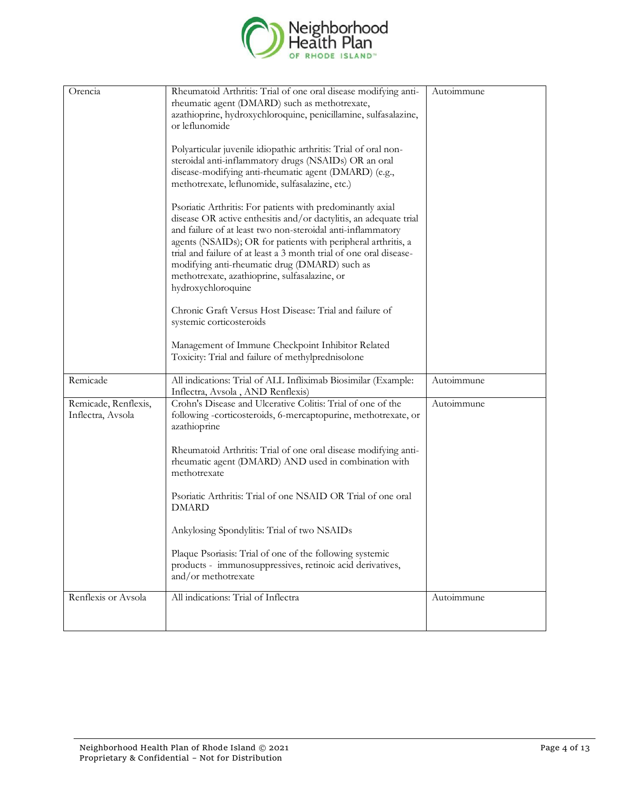

| Orencia                                   | Rheumatoid Arthritis: Trial of one oral disease modifying anti-<br>rheumatic agent (DMARD) such as methotrexate,<br>azathioprine, hydroxychloroquine, penicillamine, sulfasalazine,<br>or leflunomide<br>Polyarticular juvenile idiopathic arthritis: Trial of oral non-<br>steroidal anti-inflammatory drugs (NSAIDs) OR an oral<br>disease-modifying anti-rheumatic agent (DMARD) (e.g.,<br>methotrexate, leflunomide, sulfasalazine, etc.)<br>Psoriatic Arthritis: For patients with predominantly axial<br>disease OR active enthesitis and/or dactylitis, an adequate trial<br>and failure of at least two non-steroidal anti-inflammatory<br>agents (NSAIDs); OR for patients with peripheral arthritis, a<br>trial and failure of at least a 3 month trial of one oral disease-<br>modifying anti-rheumatic drug (DMARD) such as<br>methotrexate, azathioprine, sulfasalazine, or<br>hydroxychloroquine<br>Chronic Graft Versus Host Disease: Trial and failure of<br>systemic corticosteroids<br>Management of Immune Checkpoint Inhibitor Related<br>Toxicity: Trial and failure of methylprednisolone | Autoimmune |
|-------------------------------------------|-----------------------------------------------------------------------------------------------------------------------------------------------------------------------------------------------------------------------------------------------------------------------------------------------------------------------------------------------------------------------------------------------------------------------------------------------------------------------------------------------------------------------------------------------------------------------------------------------------------------------------------------------------------------------------------------------------------------------------------------------------------------------------------------------------------------------------------------------------------------------------------------------------------------------------------------------------------------------------------------------------------------------------------------------------------------------------------------------------------------|------------|
| Remicade                                  | All indications: Trial of ALL Infliximab Biosimilar (Example:<br>Inflectra, Avsola, AND Renflexis)                                                                                                                                                                                                                                                                                                                                                                                                                                                                                                                                                                                                                                                                                                                                                                                                                                                                                                                                                                                                              | Autoimmune |
| Remicade, Renflexis,<br>Inflectra, Avsola | Crohn's Disease and Ulcerative Colitis: Trial of one of the<br>following -corticosteroids, 6-mercaptopurine, methotrexate, or<br>azathioprine<br>Rheumatoid Arthritis: Trial of one oral disease modifying anti-<br>rheumatic agent (DMARD) AND used in combination with<br>methotrexate<br>Psoriatic Arthritis: Trial of one NSAID OR Trial of one oral<br><b>DMARD</b><br>Ankylosing Spondylitis: Trial of two NSAIDs<br>Plaque Psoriasis: Trial of one of the following systemic<br>products - immunosuppressives, retinoic acid derivatives,<br>and/or methotrexate<br>All indications: Trial of Inflectra                                                                                                                                                                                                                                                                                                                                                                                                                                                                                                  | Autoimmune |
| Renflexis or Avsola                       |                                                                                                                                                                                                                                                                                                                                                                                                                                                                                                                                                                                                                                                                                                                                                                                                                                                                                                                                                                                                                                                                                                                 | Autoimmune |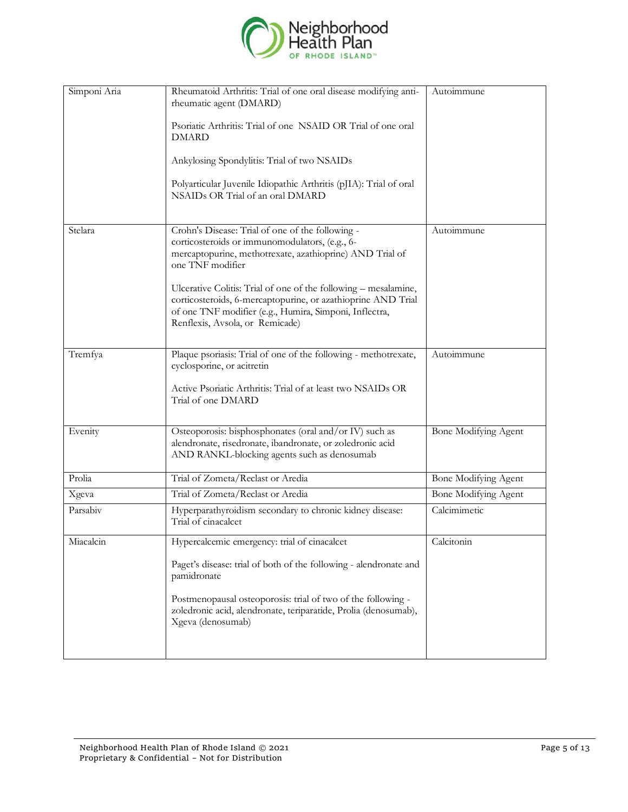

| Simponi Aria | Rheumatoid Arthritis: Trial of one oral disease modifying anti-<br>rheumatic agent (DMARD)                                                                                                                                   | Autoimmune           |
|--------------|------------------------------------------------------------------------------------------------------------------------------------------------------------------------------------------------------------------------------|----------------------|
|              | Psoriatic Arthritis: Trial of one NSAID OR Trial of one oral<br><b>DMARD</b>                                                                                                                                                 |                      |
|              | Ankylosing Spondylitis: Trial of two NSAIDs                                                                                                                                                                                  |                      |
|              | Polyarticular Juvenile Idiopathic Arthritis (pJIA): Trial of oral<br>NSAIDs OR Trial of an oral DMARD                                                                                                                        |                      |
| Stelara      | Crohn's Disease: Trial of one of the following -<br>corticosteroids or immunomodulators, (e.g., 6-<br>mercaptopurine, methotrexate, azathioprine) AND Trial of<br>one TNF modifier                                           | Autoimmune           |
|              | Ulcerative Colitis: Trial of one of the following – mesalamine,<br>corticosteroids, 6-mercaptopurine, or azathioprine AND Trial<br>of one TNF modifier (e.g., Humira, Simponi, Inflectra,<br>Renflexis, Avsola, or Remicade) |                      |
| Tremfya      | Plaque psoriasis: Trial of one of the following - methotrexate,<br>cyclosporine, or acitretin                                                                                                                                | Autoimmune           |
|              | Active Psoriatic Arthritis: Trial of at least two NSAIDs OR<br>Trial of one DMARD                                                                                                                                            |                      |
| Evenity      | Osteoporosis: bisphosphonates (oral and/or IV) such as<br>alendronate, risedronate, ibandronate, or zoledronic acid<br>AND RANKL-blocking agents such as denosumab                                                           | Bone Modifying Agent |
| Prolia       | Trial of Zometa/Reclast or Aredia                                                                                                                                                                                            | Bone Modifying Agent |
| Xgeva        | Trial of Zometa/Reclast or Aredia                                                                                                                                                                                            | Bone Modifying Agent |
| Parsabiv     | Hyperparathyroidism secondary to chronic kidney disease:<br>Trial of cinacalcet                                                                                                                                              | Calcimimetic         |
| Miacalcin    | Hypercalcemic emergency: trial of cinacalcet                                                                                                                                                                                 | Calcitonin           |
|              | Paget's disease: trial of both of the following - alendronate and<br>pamidronate                                                                                                                                             |                      |
|              | Postmenopausal osteoporosis: trial of two of the following -<br>zoledronic acid, alendronate, teriparatide, Prolia (denosumab),<br>Xgeva (denosumab)                                                                         |                      |
|              |                                                                                                                                                                                                                              |                      |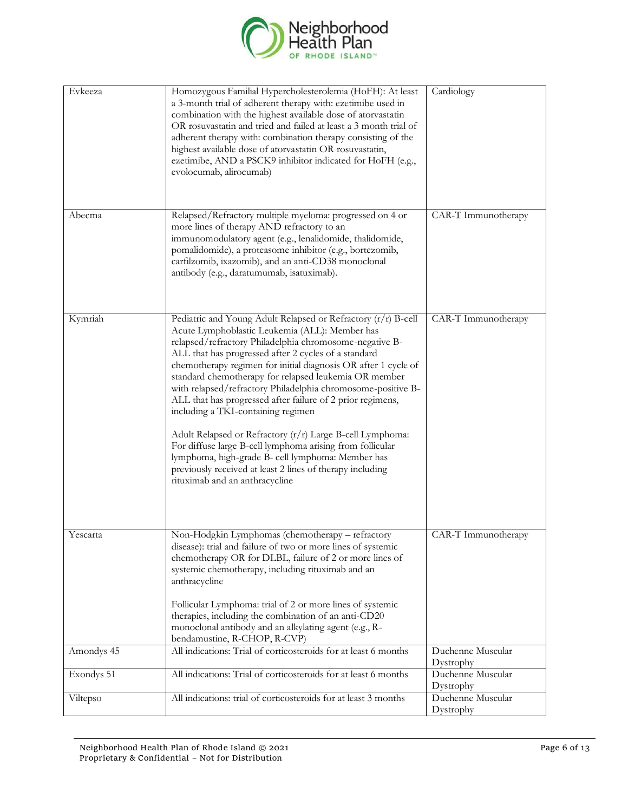

| Evkeeza    | Homozygous Familial Hypercholesterolemia (HoFH): At least<br>a 3-month trial of adherent therapy with: ezetimibe used in<br>combination with the highest available dose of atorvastatin<br>OR rosuvastatin and tried and failed at least a 3 month trial of<br>adherent therapy with: combination therapy consisting of the<br>highest available dose of atorvastatin OR rosuvastatin,<br>ezetimibe, AND a PSCK9 inhibitor indicated for HoFH (e.g.,<br>evolocumab, alirocumab)                                                                                                                                                                                                                                                                                                                                 | Cardiology                     |
|------------|-----------------------------------------------------------------------------------------------------------------------------------------------------------------------------------------------------------------------------------------------------------------------------------------------------------------------------------------------------------------------------------------------------------------------------------------------------------------------------------------------------------------------------------------------------------------------------------------------------------------------------------------------------------------------------------------------------------------------------------------------------------------------------------------------------------------|--------------------------------|
| Abecma     | Relapsed/Refractory multiple myeloma: progressed on 4 or<br>more lines of therapy AND refractory to an<br>immunomodulatory agent (e.g., lenalidomide, thalidomide,<br>pomalidomide), a proteasome inhibitor (e.g., bortezomib,<br>carfilzomib, ixazomib), and an anti-CD38 monoclonal<br>antibody (e.g., daratumumab, isatuximab).                                                                                                                                                                                                                                                                                                                                                                                                                                                                              | CAR-T Immunotherapy            |
| Kymriah    | Pediatric and Young Adult Relapsed or Refractory (r/r) B-cell<br>Acute Lymphoblastic Leukemia (ALL): Member has<br>relapsed/refractory Philadelphia chromosome-negative B-<br>ALL that has progressed after 2 cycles of a standard<br>chemotherapy regimen for initial diagnosis OR after 1 cycle of<br>standard chemotherapy for relapsed leukemia OR member<br>with relapsed/refractory Philadelphia chromosome-positive B-<br>ALL that has progressed after failure of 2 prior regimens,<br>including a TKI-containing regimen<br>Adult Relapsed or Refractory (r/r) Large B-cell Lymphoma:<br>For diffuse large B-cell lymphoma arising from follicular<br>lymphoma, high-grade B- cell lymphoma: Member has<br>previously received at least 2 lines of therapy including<br>rituximab and an anthracycline | CAR-T Immunotherapy            |
| Yescarta   | Non-Hodgkin Lymphomas (chemotherapy - refractory<br>disease): trial and failure of two or more lines of systemic<br>chemotherapy OR for DLBL, failure of 2 or more lines of<br>systemic chemotherapy, including rituximab and an<br>anthracycline<br>Follicular Lymphoma: trial of 2 or more lines of systemic<br>therapies, including the combination of an anti-CD20<br>monoclonal antibody and an alkylating agent (e.g., R-                                                                                                                                                                                                                                                                                                                                                                                 | CAR-T Immunotherapy            |
| Amondys 45 | bendamustine, R-CHOP, R-CVP)<br>All indications: Trial of corticosteroids for at least 6 months                                                                                                                                                                                                                                                                                                                                                                                                                                                                                                                                                                                                                                                                                                                 | Duchenne Muscular              |
| Exondys 51 | All indications: Trial of corticosteroids for at least 6 months                                                                                                                                                                                                                                                                                                                                                                                                                                                                                                                                                                                                                                                                                                                                                 | Dystrophy<br>Duchenne Muscular |
| Viltepso   | All indications: trial of corticosteroids for at least 3 months                                                                                                                                                                                                                                                                                                                                                                                                                                                                                                                                                                                                                                                                                                                                                 | Dystrophy<br>Duchenne Muscular |
|            |                                                                                                                                                                                                                                                                                                                                                                                                                                                                                                                                                                                                                                                                                                                                                                                                                 | Dystrophy                      |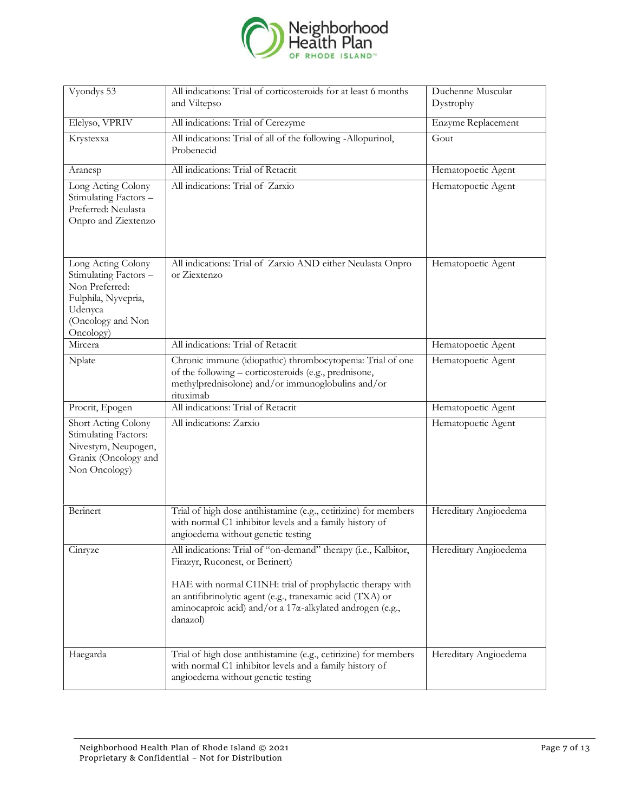

| Vyondys 53                                                                                                                        | All indications: Trial of corticosteroids for at least 6 months<br>and Viltepso                                                                                                                                                                                                                      | Duchenne Muscular<br>Dystrophy |
|-----------------------------------------------------------------------------------------------------------------------------------|------------------------------------------------------------------------------------------------------------------------------------------------------------------------------------------------------------------------------------------------------------------------------------------------------|--------------------------------|
| Elelyso, VPRIV                                                                                                                    | All indications: Trial of Cerezyme                                                                                                                                                                                                                                                                   | Enzyme Replacement             |
| Krystexxa                                                                                                                         | All indications: Trial of all of the following -Allopurinol,<br>Probenecid                                                                                                                                                                                                                           | Gout                           |
| Aranesp                                                                                                                           | All indications: Trial of Retacrit                                                                                                                                                                                                                                                                   | Hematopoetic Agent             |
| Long Acting Colony<br>Stimulating Factors -<br>Preferred: Neulasta<br>Onpro and Ziextenzo                                         | All indications: Trial of Zarxio                                                                                                                                                                                                                                                                     | Hematopoetic Agent             |
| Long Acting Colony<br>Stimulating Factors -<br>Non Preferred:<br>Fulphila, Nyvepria,<br>Udenyca<br>(Oncology and Non<br>Oncology) | All indications: Trial of Zarxio AND either Neulasta Onpro<br>or Ziextenzo                                                                                                                                                                                                                           | Hematopoetic Agent             |
| Mircera                                                                                                                           | All indications: Trial of Retacrit                                                                                                                                                                                                                                                                   | Hematopoetic Agent             |
| Nplate                                                                                                                            | Chronic immune (idiopathic) thrombocytopenia: Trial of one<br>of the following - corticosteroids (e.g., prednisone,<br>methylprednisolone) and/or immunoglobulins and/or<br>rituximab                                                                                                                | Hematopoetic Agent             |
| Procrit, Epogen                                                                                                                   | All indications: Trial of Retacrit                                                                                                                                                                                                                                                                   | Hematopoetic Agent             |
| Short Acting Colony<br>Stimulating Factors:<br>Nivestym, Neupogen,<br>Granix (Oncology and<br>Non Oncology)                       | All indications: Zarxio                                                                                                                                                                                                                                                                              | Hematopoetic Agent             |
| Berinert                                                                                                                          | Trial of high dose antihistamine (e.g., cetirizine) for members<br>with normal C1 inhibitor levels and a family history of<br>angioedema without genetic testing                                                                                                                                     | Hereditary Angioedema          |
| Cinryze                                                                                                                           | All indications: Trial of "on-demand" therapy (i.e., Kalbitor,<br>Firazyr, Ruconest, or Berinert)<br>HAE with normal C1INH: trial of prophylactic therapy with<br>an antifibrinolytic agent (e.g., tranexamic acid (TXA) or<br>aminocaproic acid) and/or a 17α-alkylated androgen (e.g.,<br>danazol) | Hereditary Angioedema          |
| Haegarda                                                                                                                          | Trial of high dose antihistamine (e.g., cetirizine) for members<br>with normal C1 inhibitor levels and a family history of<br>angioedema without genetic testing                                                                                                                                     | Hereditary Angioedema          |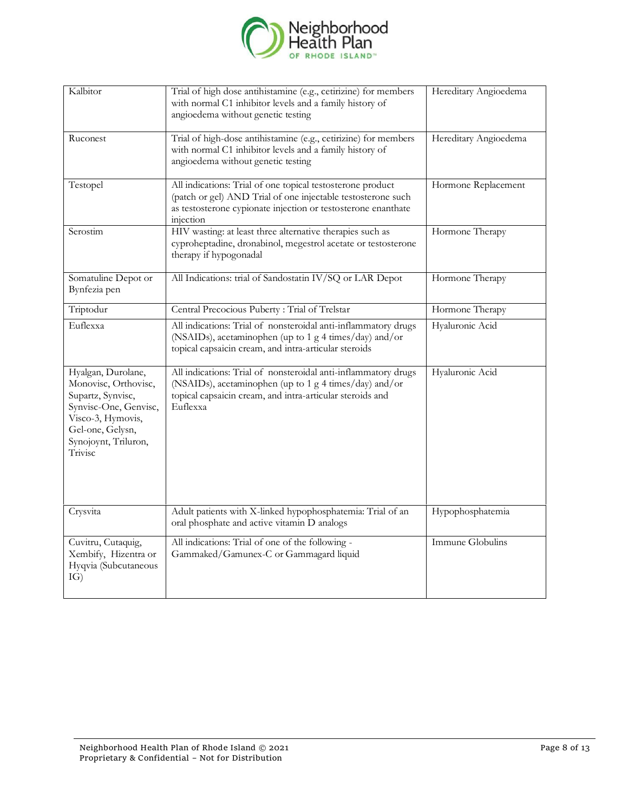

| Kalbitor                                                                                                                                                             | Trial of high dose antihistamine (e.g., cetirizine) for members<br>with normal C1 inhibitor levels and a family history of<br>angioedema without genetic testing                                         | Hereditary Angioedema |
|----------------------------------------------------------------------------------------------------------------------------------------------------------------------|----------------------------------------------------------------------------------------------------------------------------------------------------------------------------------------------------------|-----------------------|
| Ruconest                                                                                                                                                             | Trial of high-dose antihistamine (e.g., cetirizine) for members<br>with normal C1 inhibitor levels and a family history of<br>angioedema without genetic testing                                         | Hereditary Angioedema |
| Testopel                                                                                                                                                             | All indications: Trial of one topical testosterone product<br>(patch or gel) AND Trial of one injectable testosterone such<br>as testosterone cypionate injection or testosterone enanthate<br>injection | Hormone Replacement   |
| Serostim                                                                                                                                                             | HIV wasting: at least three alternative therapies such as<br>cyproheptadine, dronabinol, megestrol acetate or testosterone<br>therapy if hypogonadal                                                     | Hormone Therapy       |
| Somatuline Depot or<br>Bynfezia pen                                                                                                                                  | All Indications: trial of Sandostatin IV/SQ or LAR Depot                                                                                                                                                 | Hormone Therapy       |
| Triptodur                                                                                                                                                            | Central Precocious Puberty: Trial of Trelstar                                                                                                                                                            | Hormone Therapy       |
| Euflexxa                                                                                                                                                             | All indications: Trial of nonsteroidal anti-inflammatory drugs<br>(NSAIDs), acetaminophen (up to 1 g 4 times/day) and/or<br>topical capsaicin cream, and intra-articular steroids                        | Hyaluronic Acid       |
| Hyalgan, Durolane,<br>Monovisc, Orthovisc,<br>Supartz, Synvisc,<br>Synvisc-One, Genvisc,<br>Visco-3, Hymovis,<br>Gel-one, Gelysn,<br>Synojoynt, Triluron,<br>Trivisc | All indications: Trial of nonsteroidal anti-inflammatory drugs<br>(NSAIDs), acetaminophen (up to 1 g 4 times/day) and/or<br>topical capsaicin cream, and intra-articular steroids and<br>Euflexxa        | Hyaluronic Acid       |
| Crysvita                                                                                                                                                             | Adult patients with X-linked hypophosphatemia: Trial of an<br>oral phosphate and active vitamin D analogs                                                                                                | Hypophosphatemia      |
| Cuvitru, Cutaquig,<br>Xembify, Hizentra or<br>Hyqvia (Subcutaneous<br>IG)                                                                                            | All indications: Trial of one of the following -<br>Gammaked/Gamunex-C or Gammagard liquid                                                                                                               | Immune Globulins      |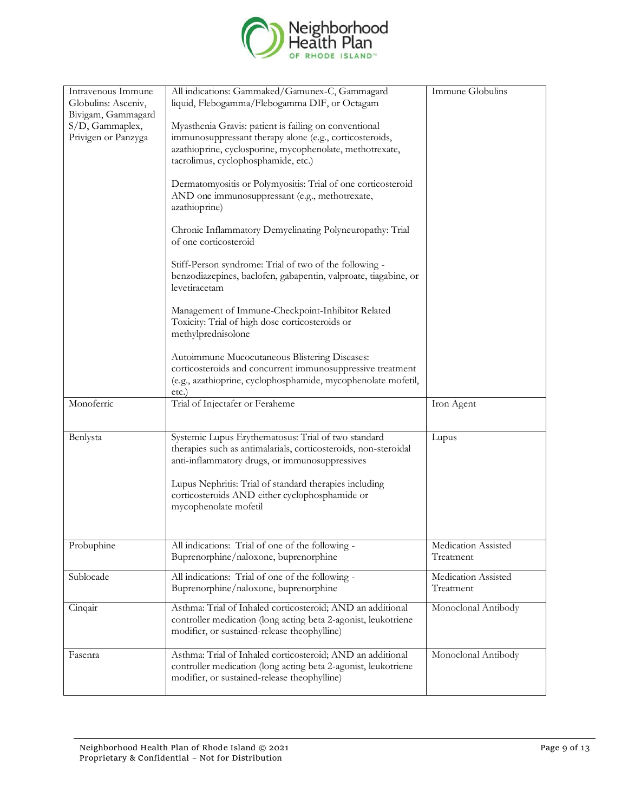

| Intravenous Immune<br>Globulins: Asceniv,<br>Bivigam, Gammagard<br>S/D, Gammaplex,<br>Privigen or Panzyga | All indications: Gammaked/Gamunex-C, Gammagard<br>liquid, Flebogamma/Flebogamma DIF, or Octagam<br>Myasthenia Gravis: patient is failing on conventional<br>immunosuppressant therapy alone (e.g., corticosteroids,<br>azathioprine, cyclosporine, mycophenolate, methotrexate,<br>tacrolimus, cyclophosphamide, etc.)<br>Dermatomyositis or Polymyositis: Trial of one corticosteroid<br>AND one immunosuppressant (e.g., methotrexate,<br>azathioprine)<br>Chronic Inflammatory Demyelinating Polyneuropathy: Trial<br>of one corticosteroid<br>Stiff-Person syndrome: Trial of two of the following -<br>benzodiazepines, baclofen, gabapentin, valproate, tiagabine, or<br>levetiracetam | Immune Globulins                 |
|-----------------------------------------------------------------------------------------------------------|----------------------------------------------------------------------------------------------------------------------------------------------------------------------------------------------------------------------------------------------------------------------------------------------------------------------------------------------------------------------------------------------------------------------------------------------------------------------------------------------------------------------------------------------------------------------------------------------------------------------------------------------------------------------------------------------|----------------------------------|
|                                                                                                           | Management of Immune-Checkpoint-Inhibitor Related<br>Toxicity: Trial of high dose corticosteroids or<br>methylprednisolone                                                                                                                                                                                                                                                                                                                                                                                                                                                                                                                                                                   |                                  |
|                                                                                                           | Autoimmune Mucocutaneous Blistering Diseases:<br>corticosteroids and concurrent immunosuppressive treatment<br>(e.g., azathioprine, cyclophosphamide, mycophenolate mofetil,<br>etc.)                                                                                                                                                                                                                                                                                                                                                                                                                                                                                                        |                                  |
| Monoferric                                                                                                | Trial of Injectafer or Feraheme                                                                                                                                                                                                                                                                                                                                                                                                                                                                                                                                                                                                                                                              | Iron Agent                       |
| Benlysta                                                                                                  | Systemic Lupus Erythematosus: Trial of two standard<br>therapies such as antimalarials, corticosteroids, non-steroidal<br>anti-inflammatory drugs, or immunosuppressives<br>Lupus Nephritis: Trial of standard therapies including<br>corticosteroids AND either cyclophosphamide or<br>mycophenolate mofetil                                                                                                                                                                                                                                                                                                                                                                                | Lupus                            |
| Probuphine                                                                                                | All indications: Trial of one of the following -<br>Buprenorphine/naloxone, buprenorphine                                                                                                                                                                                                                                                                                                                                                                                                                                                                                                                                                                                                    | Medication Assisted<br>Treatment |
| Sublocade                                                                                                 | All indications: Trial of one of the following -<br>Buprenorphine/naloxone, buprenorphine                                                                                                                                                                                                                                                                                                                                                                                                                                                                                                                                                                                                    | Medication Assisted<br>Treatment |
| Cinqair                                                                                                   | Asthma: Trial of Inhaled corticosteroid; AND an additional<br>controller medication (long acting beta 2-agonist, leukotriene<br>modifier, or sustained-release theophylline)                                                                                                                                                                                                                                                                                                                                                                                                                                                                                                                 | Monoclonal Antibody              |
| Fasenra                                                                                                   | Asthma: Trial of Inhaled corticosteroid; AND an additional<br>controller medication (long acting beta 2-agonist, leukotriene<br>modifier, or sustained-release theophylline)                                                                                                                                                                                                                                                                                                                                                                                                                                                                                                                 | Monoclonal Antibody              |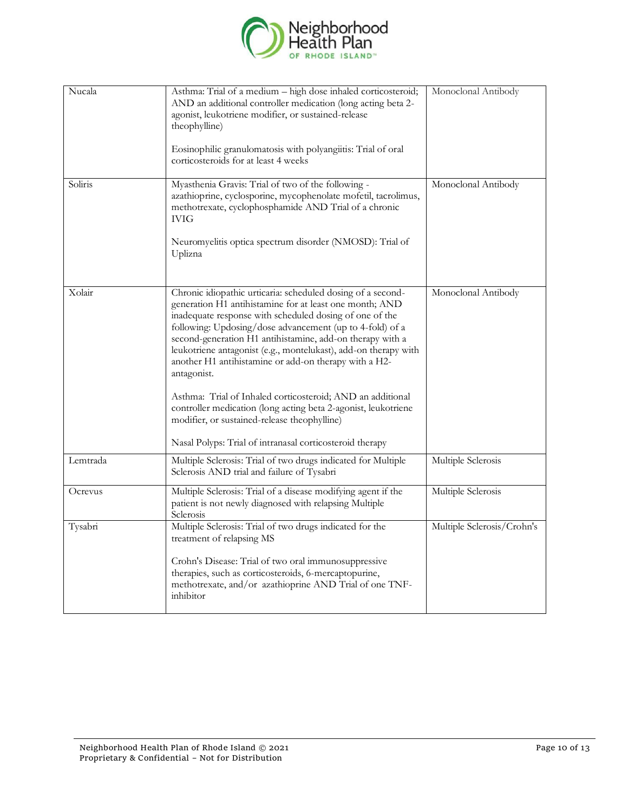

| Nucala   | Asthma: Trial of a medium - high dose inhaled corticosteroid;<br>AND an additional controller medication (long acting beta 2-<br>agonist, leukotriene modifier, or sustained-release<br>theophylline)<br>Eosinophilic granulomatosis with polyangiitis: Trial of oral<br>corticosteroids for at least 4 weeks                                                                                                                                                                                                                                                                                                                                                                                     | Monoclonal Antibody        |
|----------|---------------------------------------------------------------------------------------------------------------------------------------------------------------------------------------------------------------------------------------------------------------------------------------------------------------------------------------------------------------------------------------------------------------------------------------------------------------------------------------------------------------------------------------------------------------------------------------------------------------------------------------------------------------------------------------------------|----------------------------|
| Soliris  | Myasthenia Gravis: Trial of two of the following -<br>azathioprine, cyclosporine, mycophenolate mofetil, tacrolimus,<br>methotrexate, cyclophosphamide AND Trial of a chronic<br><b>IVIG</b><br>Neuromyelitis optica spectrum disorder (NMOSD): Trial of<br>Uplizna                                                                                                                                                                                                                                                                                                                                                                                                                               | Monoclonal Antibody        |
| Xolair   | Chronic idiopathic urticaria: scheduled dosing of a second-<br>generation H1 antihistamine for at least one month; AND<br>inadequate response with scheduled dosing of one of the<br>following: Updosing/dose advancement (up to 4-fold) of a<br>second-generation H1 antihistamine, add-on therapy with a<br>leukotriene antagonist (e.g., montelukast), add-on therapy with<br>another H1 antihistamine or add-on therapy with a H2-<br>antagonist.<br>Asthma: Trial of Inhaled corticosteroid; AND an additional<br>controller medication (long acting beta 2-agonist, leukotriene<br>modifier, or sustained-release theophylline)<br>Nasal Polyps: Trial of intranasal corticosteroid therapy | Monoclonal Antibody        |
| Lemtrada | Multiple Sclerosis: Trial of two drugs indicated for Multiple<br>Sclerosis AND trial and failure of Tysabri                                                                                                                                                                                                                                                                                                                                                                                                                                                                                                                                                                                       | Multiple Sclerosis         |
| Ocrevus  | Multiple Sclerosis: Trial of a disease modifying agent if the<br>patient is not newly diagnosed with relapsing Multiple<br>Sclerosis                                                                                                                                                                                                                                                                                                                                                                                                                                                                                                                                                              | Multiple Sclerosis         |
| Tysabri  | Multiple Sclerosis: Trial of two drugs indicated for the<br>treatment of relapsing MS<br>Crohn's Disease: Trial of two oral immunosuppressive<br>therapies, such as corticosteroids, 6-mercaptopurine,<br>methotrexate, and/or azathioprine AND Trial of one TNF-<br>inhibitor                                                                                                                                                                                                                                                                                                                                                                                                                    | Multiple Sclerosis/Crohn's |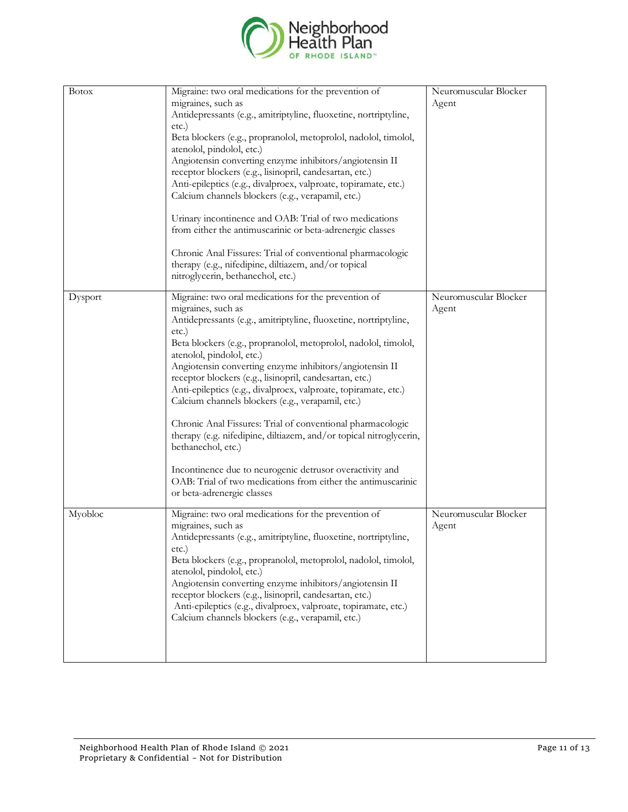

| <b>Botox</b> | Migraine: two oral medications for the prevention of<br>migraines, such as<br>Antidepressants (e.g., amitriptyline, fluoxetine, nortriptyline,<br>etc.)<br>Beta blockers (e.g., propranolol, metoprolol, nadolol, timolol,<br>atenolol, pindolol, etc.)<br>Angiotensin converting enzyme inhibitors/angiotensin II<br>receptor blockers (e.g., lisinopril, candesartan, etc.)<br>Anti-epileptics (e.g., divalproex, valproate, topiramate, etc.)<br>Calcium channels blockers (e.g., verapamil, etc.)<br>Urinary incontinence and OAB: Trial of two medications<br>from either the antimuscarinic or beta-adrenergic classes<br>Chronic Anal Fissures: Trial of conventional pharmacologic<br>therapy (e.g., nifedipine, diltiazem, and/or topical<br>nitroglycerin, bethanechol, etc.)                                   | Neuromuscular Blocker<br>Agent |
|--------------|---------------------------------------------------------------------------------------------------------------------------------------------------------------------------------------------------------------------------------------------------------------------------------------------------------------------------------------------------------------------------------------------------------------------------------------------------------------------------------------------------------------------------------------------------------------------------------------------------------------------------------------------------------------------------------------------------------------------------------------------------------------------------------------------------------------------------|--------------------------------|
| Dysport      | Migraine: two oral medications for the prevention of<br>migraines, such as<br>Antidepressants (e.g., amitriptyline, fluoxetine, nortriptyline,<br>etc.)<br>Beta blockers (e.g., propranolol, metoprolol, nadolol, timolol,<br>atenolol, pindolol, etc.)<br>Angiotensin converting enzyme inhibitors/angiotensin II<br>receptor blockers (e.g., lisinopril, candesartan, etc.)<br>Anti-epileptics (e.g., divalproex, valproate, topiramate, etc.)<br>Calcium channels blockers (e.g., verapamil, etc.)<br>Chronic Anal Fissures: Trial of conventional pharmacologic<br>therapy (e.g. nifedipine, diltiazem, and/or topical nitroglycerin,<br>bethanechol, etc.)<br>Incontinence due to neurogenic detrusor overactivity and<br>OAB: Trial of two medications from either the antimuscarinic<br>or beta-adrenergic classes | Neuromuscular Blocker<br>Agent |
| Myobloc      | Migraine: two oral medications for the prevention of<br>migraines, such as<br>Antidepressants (e.g., amitriptyline, fluoxetine, nortriptyline,<br>$etc.$ )<br>Beta blockers (e.g., propranolol, metoprolol, nadolol, timolol,<br>atenolol, pindolol, etc.)<br>Angiotensin converting enzyme inhibitors/angiotensin II<br>receptor blockers (e.g., lisinopril, candesartan, etc.)<br>Anti-epileptics (e.g., divalproex, valproate, topiramate, etc.)<br>Calcium channels blockers (e.g., verapamil, etc.)                                                                                                                                                                                                                                                                                                                  | Neuromuscular Blocker<br>Agent |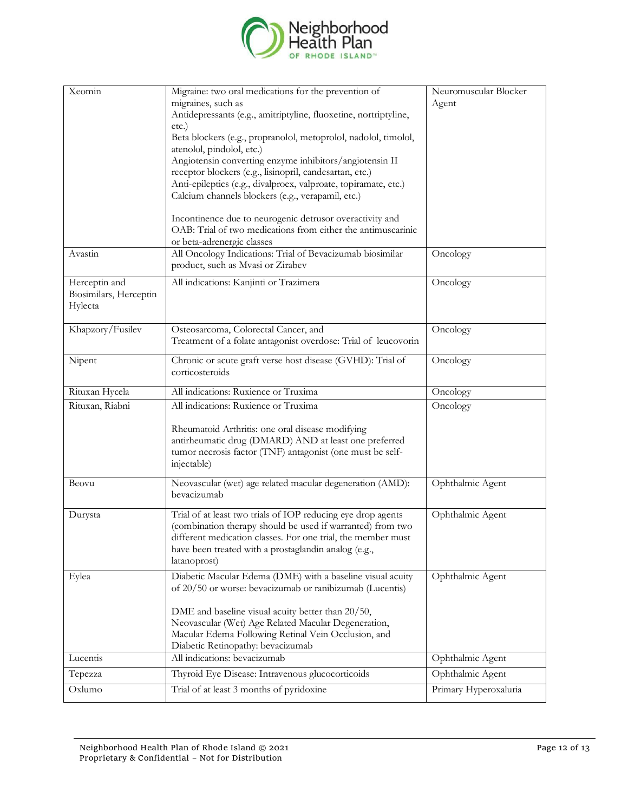

| Xeomin                                             | Migraine: two oral medications for the prevention of<br>migraines, such as<br>Antidepressants (e.g., amitriptyline, fluoxetine, nortriptyline,<br>etc.)<br>Beta blockers (e.g., propranolol, metoprolol, nadolol, timolol,<br>atenolol, pindolol, etc.)<br>Angiotensin converting enzyme inhibitors/angiotensin II<br>receptor blockers (e.g., lisinopril, candesartan, etc.)<br>Anti-epileptics (e.g., divalproex, valproate, topiramate, etc.) | Neuromuscular Blocker<br>Agent |
|----------------------------------------------------|--------------------------------------------------------------------------------------------------------------------------------------------------------------------------------------------------------------------------------------------------------------------------------------------------------------------------------------------------------------------------------------------------------------------------------------------------|--------------------------------|
|                                                    | Calcium channels blockers (e.g., verapamil, etc.)<br>Incontinence due to neurogenic detrusor overactivity and<br>OAB: Trial of two medications from either the antimuscarinic<br>or beta-adrenergic classes                                                                                                                                                                                                                                      |                                |
| Avastin                                            | All Oncology Indications: Trial of Bevacizumab biosimilar<br>product, such as Mvasi or Zirabev                                                                                                                                                                                                                                                                                                                                                   | Oncology                       |
| Herceptin and<br>Biosimilars, Herceptin<br>Hylecta | All indications: Kanjinti or Trazimera                                                                                                                                                                                                                                                                                                                                                                                                           | Oncology                       |
| Khapzory/Fusilev                                   | Osteosarcoma, Colorectal Cancer, and<br>Treatment of a folate antagonist overdose: Trial of leucovorin                                                                                                                                                                                                                                                                                                                                           | Oncology                       |
| Nipent                                             | Chronic or acute graft verse host disease (GVHD): Trial of<br>corticosteroids                                                                                                                                                                                                                                                                                                                                                                    | Oncology                       |
| Rituxan Hycela                                     | All indications: Ruxience or Truxima                                                                                                                                                                                                                                                                                                                                                                                                             | Oncology                       |
| Rituxan, Riabni                                    | All indications: Ruxience or Truxima<br>Rheumatoid Arthritis: one oral disease modifying<br>antirheumatic drug (DMARD) AND at least one preferred<br>tumor necrosis factor (TNF) antagonist (one must be self-<br>injectable)                                                                                                                                                                                                                    | Oncology                       |
| Beovu                                              | Neovascular (wet) age related macular degeneration (AMD):<br>bevacizumab                                                                                                                                                                                                                                                                                                                                                                         | Ophthalmic Agent               |
| Durysta                                            | Trial of at least two trials of IOP reducing eye drop agents<br>(combination therapy should be used if warranted) from two<br>different medication classes. For one trial, the member must<br>have been treated with a prostaglandin analog (e.g.,<br>latanoprost)                                                                                                                                                                               | Ophthalmic Agent               |
| Eylea                                              | Diabetic Macular Edema (DME) with a baseline visual acuity<br>of 20/50 or worse: bevacizumab or ranibizumab (Lucentis)<br>DME and baseline visual acuity better than 20/50,<br>Neovascular (Wet) Age Related Macular Degeneration,<br>Macular Edema Following Retinal Vein Occlusion, and<br>Diabetic Retinopathy: bevacizumab                                                                                                                   | Ophthalmic Agent               |
| Lucentis                                           | All indications: bevacizumab                                                                                                                                                                                                                                                                                                                                                                                                                     | Ophthalmic Agent               |
| Tepezza                                            | Thyroid Eye Disease: Intravenous glucocorticoids                                                                                                                                                                                                                                                                                                                                                                                                 | Ophthalmic Agent               |
| Oxlumo                                             | Trial of at least 3 months of pyridoxine                                                                                                                                                                                                                                                                                                                                                                                                         | Primary Hyperoxaluria          |